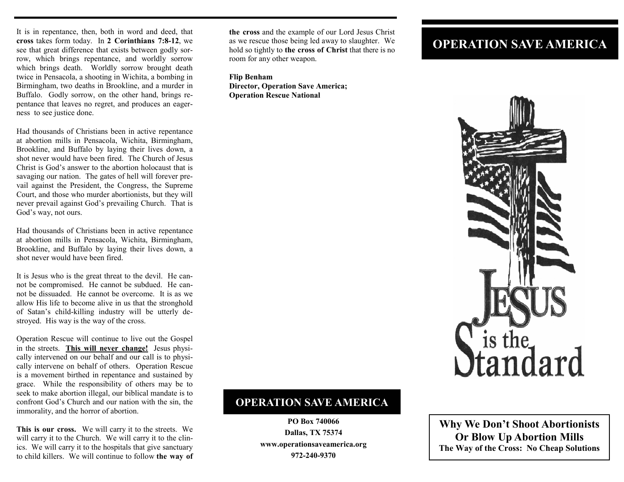It is in repentance, then, both in word and deed, that **cross** takes form today. In **2 Corinthians 7:8-12**, we see that great difference that exists between godly sorrow, which brings repentance, and worldly sorrow which brings death. Worldly sorrow brought death twice in Pensacola, a shooting in Wichita, a bombing in Birmingham, two deaths in Brookline, and a murder in Buffalo. Godly sorrow, on the other hand, brings repentance that leaves no regret, and produces an eagerness to see justice done.

Had thousands of Christians been in active repentance at abortion mills in Pensacola, Wichita, Birmingham, Brookline, and Buffalo by laying their lives down, a shot never would have been fired. The Church of Jesus Christ is God's answer to the abortion holocaust that is savaging our nation. The gates of hell will forever prevail against the President, the Congress, the Supreme Court, and those who murder abortionists, but they will never prevail against God's prevailing Church. That is God's way, not ours.

Had thousands of Christians been in active repentance at abortion mills in Pensacola, Wichita, Birmingham, Brookline, and Buffalo by laying their lives down, a shot never would have been fired.

It is Jesus who is the great threat to the devil. He cannot be compromised. He cannot be subdued. He cannot be dissuaded. He cannot be overcome. It is as we allow His life to become alive in us that the stronghold of Satan's child-killing industry will be utterly destroyed. His way is the way of the cross.

Operation Rescue will continue to live out the Gospel in the streets. **This will never change!** Jesus physically intervened on our behalf and our call is to physically intervene on behalf of others. Operation Rescue is a movement birthed in repentance and sustained by grace. While the responsibility of others may be to seek to make abortion illegal, our biblical mandate is to confront God's Church and our nation with the sin, the immorality, and the horror of abortion.

**This is our cross.** We will carry it to the streets. We will carry it to the Church. We will carry it to the clinics. We will carry it to the hospitals that give sanctuary to child killers. We will continue to follow **the way of**  **the cross** and the example of our Lord Jesus Christ as we rescue those being led away to slaughter. We hold so tightly to **the cross of Christ** that there is no room for any other weapon.

**Flip Benham Director, Operation Save America; Operation Rescue National** 

## **OPERATION SAVE AMERICA**



## **OPERATION SAVE AMERICA**

**PO Box 740066 Dallas, TX 75374 www.operationsaveamerica.org 972-240-9370** 

**Why We Don't Shoot Abortionists Or Blow Up Abortion Mills The Way of the Cross: No Cheap Solutions**